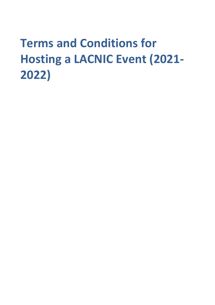# **Terms and Conditions for Hosting a LACNIC Event (2021- 2022)**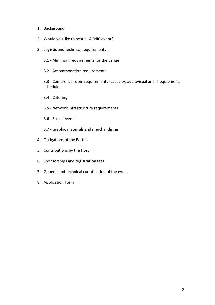- 1. Background
- 2. Would you like to host a LACNIC event?
- 3. Logistic and technical requirements
	- 3.1 Minimum requirements for the venue
	- 3.2 Accommodation requirements

3.3 - Conference room requirements (capacity, audiovisual and IT equipment, schedule).

- 3.4 Catering
- 3.5 Network infrastructure requirements
- 3.6 Social events
- 3.7 Graphic materials and merchandising
- 4. Obligations of the Parties
- 5. Contributions by the Host
- 6. Sponsorships and registration fees
- 7. General and technical coordination of the event
- 8. Application Form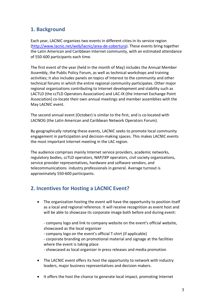# **1. Background**

Each year, LACNIC organizes two events in different cities in its service region (http://www.lacnic.net/web/lacnic/area-de-cobertura). These events bring together the Latin American and Caribbean Internet community, with an estimated attendance of 550-600 participants each time.

The first event of the year (held in the month of May) includes the Annual Member Assembly, the Public Policy Forum, as well as technical workshops and training activities; it also includes panels on topics of Interest to the community and other technical forums in which the entire regional community participates. Other major regional organizations contributing to Internet development and stability such as LACTLD (the ccTLD Operators Association) and LAC-IX (the Internet Exchange Point Association) co-locate their own annual meetings and member assemblies with the May LACNIC event.

The second annual event (October) is similar to the first, and is co-located with LACNOG (the Latin American and Caribbean Network Operators Forum).

By geographically rotating these events, LACNIC seeks to promote local community engagement in participation and decision-making spaces. This makes LACNIC events the most important Internet meeting in the LAC region.

The audience comprises mainly Internet service providers, academic networks, regulatory bodies, ccTLD operators, NAP/IXP operators, civil society organizations, service provider representatives, hardware and software vendors, and telecommunications industry professionals in general. Average turnout is approximately 550-600 participants.

# **2. Incentives for Hosting a LACNIC Event?**

• The organization hosting the event will have the opportunity to position itself as a local and regional reference. It will receive recognition as event host and will be able to showcase its corporate image both before and during event:

- company logo and link to company website on the event's official website, showcased as the local organizer - company logo on the event's official T-shirt (if applicable) - corporate branding on promotional material and signage at the facilities where the event is taking place - showcased as local organizer in press releases and media promotion

- The LACNIC event offers its host the opportunity to network with industry leaders, major business representatives and decision makers.
- It offers the host the chance to generate local impact, promoting Internet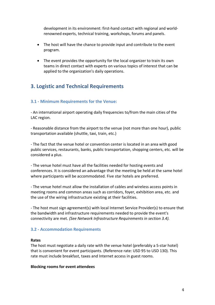development in its environment: first-hand contact with regional and worldrenowned experts, technical training, workshops, forums and panels.

- The host will have the chance to provide input and contribute to the event program.
- The event provides the opportunity for the local organizer to train its own teams in direct contact with experts on various topics of interest that can be applied to the organization's daily operations.

# **3. Logistic and Technical Requirements**

### **3.1 - Minimum Requirements for the Venue:**

- An international airport operating daily frequencies to/from the main cities of the LAC region.

- Reasonable distance from the airport to the venue (not more than one hour), public transportation available (shuttle, taxi, train, etc.)

- The fact that the venue hotel or convention center is located in an area with good public services, restaurants, banks, public transportation, shopping centers, etc. will be considered a plus.

- The venue hotel must have all the facilities needed for hosting events and conferences. It is considered an advantage that the meeting be held at the same hotel where participants will be accommodated. Five star hotels are preferred.

- The venue hotel must allow the installation of cables and wireless access points in meeting rooms and common areas such as corridors, foyer, exhibition area, etc. and the use of the wiring infrastructure existing at their facilities.

- The host must sign agreement(s) with local Internet Service Provider(s) to ensure that the bandwidth and infrastructure requirements needed to provide the event's connectivity are met. *(See Network Infrastructure Requirements in section 3.4).*

#### **3.2 - Accommodation Requirements**

#### **Rates**

The host must negotiate a daily rate with the venue hotel (preferably a 5-star hotel) that is convenient for event participants. (Reference rate: USD 95 to USD 130). This rate must include breakfast, taxes and Internet access in guest rooms.

#### **Blocking rooms for event attendees**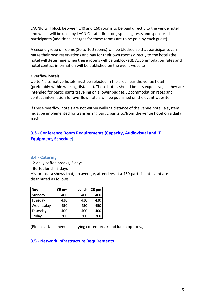LACNIC will block between 140 and 160 rooms to be paid directly to the venue hotel and which will be used by LACNIC staff, directors, special guests and sponsored participants (additional charges for these rooms are to be paid by each guest).

A second group of rooms (80 to 100 rooms) will be blocked so that participants can make their own reservations and pay for their own rooms directly to the hotel (the hotel will determine when these rooms will be unblocked). Accommodation rates and hotel contact information will be published on the event website

#### **Overflow hotels**

Up to 4 alternative hotels must be selected in the area near the venue hotel (preferably within walking distance). These hotels should be less expensive, as they are intended for participants traveling on a lower budget. Accommodation rates and contact information for overflow hotels will be published on the event website

If these overflow hotels are not within walking distance of the venue hotel, a system must be implemented for transferring participants to/from the venue hotel on a daily basis.

## **3.3 - Conference Room Requirements (Capacity, Audiovisual and IT Equipment, Schedule).**

#### **3.4 - Catering**

- 2 daily coffee breaks, 5 days

- Buffet lunch, 5 days

Historic data shows that, on average, attendees at a 450-participant event are distributed as follows:

| Day       | $CB$ am | Lunch | CB pm |
|-----------|---------|-------|-------|
| Monday    | 400     | 400   | 400   |
| Tuesday   | 430     | 430   | 430   |
| Wednesday | 450     | 450   | 450   |
| Thursday  | 400     | 400   | 400   |
| Friday    | 300     | 300   | 300   |

(Please attach menu specifying coffee-break and lunch options.)

**3.5 - Network Infrastructure Requirements**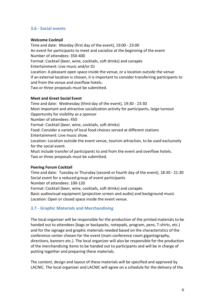## **3.6 - Social events**

#### **Welcome Cocktail**

Time and date: Monday (first day of the event), 19:00 - 23:00 An event for participants to meet and socialize at the beginning of the event Number of attendees: 350-400 Format: Cocktail (beer, wine, cocktails, soft drinks) and canapés Entertainment: Live music and/or DJ Location: A pleasant open space inside the venue, or a location outside the venue If an external location is chosen, it is important to consider transferring participants to and from the venue and overflow hotels. Two or three proposals must be submitted.

#### **Meet and Greet Social Event**

Time and date: Wednesday (third day of the event), 19:30 - 23:30 Most important and attractive socialization activity for participants, large turnout Opportunity for visibility as a sponsor Number of attendees: 450 Format: Cocktail (beer, wine, cocktails, soft drinks) Food: Consider a variety of local food choices served at different stations Entertainment: Live music show. Location: Location outside the event venue, tourism attraction, to be used exclusively for the social event.

Must include transfer of participants to and from the event and overflow hotels. Two or three proposals must be submitted.

#### **Peering Forum Cocktail**

Time and date: Tuesday or Thursday (second or fourth day of the event), 18:30 - 21:30 Social event for a reduced group of event participants Number of attendees: 100-120

Format: Cocktail (beer, wine, cocktails, soft drinks) and canapés Basic audiovisual equipment (projection screen and audio) and background music Location: Open or closed space inside the event venue.

## **3.7 - Graphic Materials and Merchandising**

The local organizer will be responsible for the production of the printed materials to be handed out to attendees (bags or backpacks, notepads, program, pens, T-shirts, etc.) and for the signage and graphic materials needed based on the characteristics of the conference center chosen for the event (main conference room gigantography, directions, banners etc.). The local organizer will also be responsible for the production of the merchandising items to be handed out to participants and will be in charge of putting together and preparing these materials.

The content, design and layout of these materials will be specified and approved by LACNIC. The local organizer and LACNIC will agree on a schedule for the delivery of the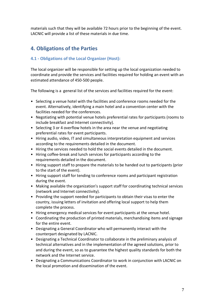materials such that they will be available 72 hours prior to the beginning of the event. LACNIC will provide a list of these materials in due time.

# **4. Obligations of the Parties**

## **4.1 - Obligations of the Local Organizer (Host):**

The local organizer will be responsible for setting up the local organization needed to coordinate and provide the services and facilities required for holding an event with an estimated attendance of 450-500 people.

The following is a general list of the services and facilities required for the event:

- Selecting a venue hotel with the facilities and conference rooms needed for the event. Alternatively, identifying a main hotel and a convention center with the facilities needed for the conferences.
- Negotiating with potential venue hotels preferential rates for participants (rooms to include breakfast and Internet connectivity).
- Selecting 3 or 4 overflow hotels in the area near the venue and negotiating preferential rates for event participants.
- Hiring audio, video, IT and simultaneous interpretation equipment and services according to the requirements detailed in the document.
- Hiring the services needed to hold the social events detailed in the document.
- Hiring coffee-break and lunch services for participants according to the requirements detailed in the document.
- Hiring support staff to prepare the materials to be handed out to participants (prior to the start of the event).
- Hiring support staff for tending to conference rooms and participant registration during the event.
- Making available the organization's support staff for coordinating technical services (network and Internet connectivity).
- Providing the support needed for participants to obtain their visas to enter the country, issuing letters of invitation and offering local support to help them complete the process.
- Hiring emergency medical services for event participants at the venue hotel.
- Coordinating the production of printed materials, merchandising items and signage for the entire event.
- Designating a General Coordinator who will permanently interact with the counterpart designated by LACNIC.
- Designating a Technical Coordinator to collaborate in the preliminary analysis of technical alternatives and in the implementation of the agreed solutions, prior to and during the event, so as to guarantee the highest quality standards for both the network and the Internet service.
- Designating a Communications Coordinator to work in conjunction with LACNIC on the local promotion and dissemination of the event.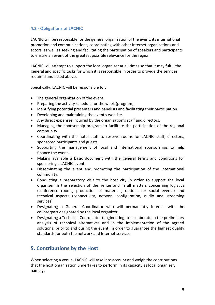## **4.2 - Obligations of LACNIC**

LACNIC will be responsible for the general organization of the event, its international promotion and communications, coordinating with other Internet organizations and actors, as well as seeking and facilitating the participation of speakers and participants to ensure an event of the greatest possible relevance for the region.

LACNIC will attempt to support the local organizer at all times so that it may fulfill the general and specific tasks for which it is responsible in order to provide the services required and listed above.

Specifically, LACNIC will be responsible for:

- The general organization of the event.
- Preparing the activity schedule for the week (program).
- Identifying potential presenters and panelists and facilitating their participation.
- Developing and maintaining the event's website.
- Any direct expenses incurred by the organization's staff and directors.
- Managing the sponsorship program to facilitate the participation of the regional community.
- Coordinating with the hotel staff to reserve rooms for LACNIC staff, directors, sponsored participants and guests.
- Supporting the management of local and international sponsorships to help finance the event.
- Making available a basic document with the general terms and conditions for sponsoring a LACNIC event.
- Disseminating the event and promoting the participation of the international community.
- Conducting a preparatory visit to the host city in order to support the local organizer in the selection of the venue and in all matters concerning logistics (conference rooms, production of materials, options for social events) and technical aspects (connectivity, network configuration, audio and streaming services).
- Designating a General Coordinator who will permanently interact with the counterpart designated by the local organizer.
- Designating a Technical Coordinator (engineering) to collaborate in the preliminary analysis of technical alternatives and in the implementation of the agreed solutions, prior to and during the event, in order to guarantee the highest quality standards for both the network and Internet services.

## **5. Contributions by the Host**

When selecting a venue, LACNIC will take into account and weigh the contributions that the host organization undertakes to perform in its capacity as local organizer, namely: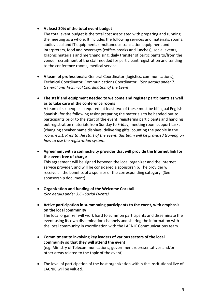#### • **At least 30% of the total event budget**

The total event budget is the total cost associated with preparing and running the meeting as a whole. It includes the following services and materials: rooms, audiovisual and IT equipment, simultaneous translation equipment and interpreters, food and beverages (coffee-breaks and lunches), social events, graphic materials and merchandising, daily transfer of participants to/from the venue, recruitment of the staff needed for participant registration and tending to the conference rooms, medical service.

- **A team of professionals:** General Coordinator (logistics, communications), Technical Coordinator, Communications Coordinator. *(See details under 7. General and Technical Coordination of the Event*
- **The staff and equipment needed to welcome and register participants as well as to take care of the conference rooms**

A team of six people is required (at least two of these must be bilingual English-Spanish) for the following tasks: preparing the materials to be handed out to participants prior to the start of the event, registering participants and handing out registration materials from Sunday to Friday, meeting room support tasks (changing speaker name displays, delivering gifts, counting the people in the room, etc.). *Prior to the start of the event, this team will be provided training on how to use the registration system.*

• **Agreement with a connectivity provider that will provide the Internet link for the event free of charge**

This agreement will be signed between the local organizer and the Internet service provider, and will be considered a sponsorship. The provider will receive all the benefits of a sponsor of the corresponding category. (See sponsorship document)

- **Organization and funding of the Welcome Cocktail**  *(See details under 3.6 - Social Events)*
- **Active participation in summoning participants to the event, with emphasis on the local community**

The local organizer will work hard to summon participants and disseminate the event using its own dissemination channels and sharing the information with the local community in coordination with the LACNIC Communications team.

- **Commitment to involving key leaders of various sectors of the local community so that they will attend the event** (e.g. Ministry of Telecommunications, government representatives and/or other areas related to the topic of the event).
- The level of participation of the host organization within the institutional live of LACNIC will be valued.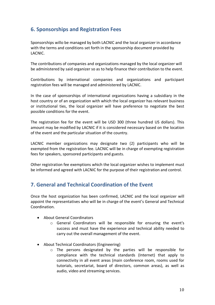# **6. Sponsorships and Registration Fees**

Sponsorships willo be managed by both LACNIC and the local organizer in accordance with the terms and conditions set forth in the sponsorship document provided by LACNIC.

The contributions of companies and organizations managed by the local organizer will be administered by said organizer so as to help finance their contribution to the event.

Contributions by international companies and organizations and participant registration fees will be managed and administered by LACNIC.

In the case of sponsorships of international organizations having a subsidiary in the host country or of an organization with which the local organizer has relevant business or institutional ties, the local organizer will have preference to negotiate the best possible conditions for the event.

The registration fee for the event will be USD 300 (three hundred US dollars). This amount may be modified by LACNIC if it is considered necessary based on the location of the event and the particular situation of the country.

LACNIC member organizations may designate two (2) participants who will be exempted from the registration fee. LACNIC will be in charge of exempting registration fees for speakers, sponsored participants and guests.

Other registration fee exemptions which the local organizer wishes to implement must be informed and agreed with LACNIC for the purpose of their registration and control.

## **7. General and Technical Coordination of the Event**

Once the host organization has been confirmed, LACNIC and the local organizer will appoint the representatives who will be in charge of the event's General and Technical Coordination.

- About General Coordinators
	- o General Coordinators will be responsible for ensuring the event's success and must have the experience and technical ability needed to carry out the overall management of the event.
- About Technical Coordinators (Engineering)
	- o The persons designated by the parties will be responsible for compliance with the technical standards (Internet) that apply to connectivity in all event areas (main conference room, rooms used for tutorials, secretariat, board of directors, common areas), as well as audio, video and streaming services.